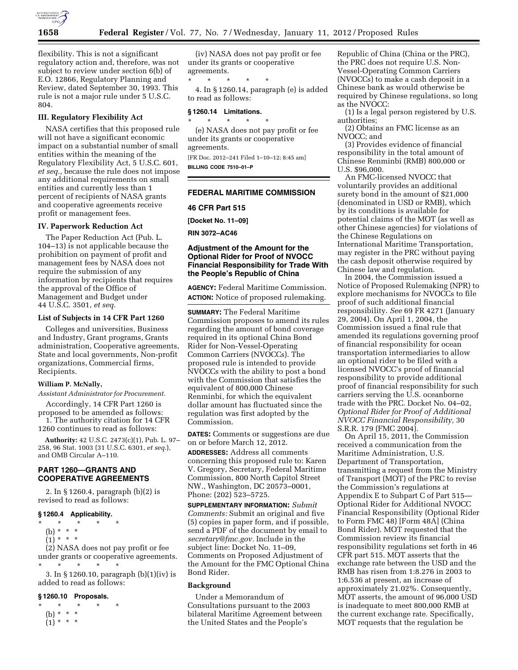

flexibility. This is not a significant regulatory action and, therefore, was not subject to review under section 6(b) of E.O. 12866, Regulatory Planning and Review, dated September 30, 1993. This rule is not a major rule under 5 U.S.C. 804.

# **III. Regulatory Flexibility Act**

NASA certifies that this proposed rule will not have a significant economic impact on a substantial number of small entities within the meaning of the Regulatory Flexibility Act, 5 U.S.C. 601, *et seq.,* because the rule does not impose any additional requirements on small entities and currently less than 1 percent of recipients of NASA grants and cooperative agreements receive profit or management fees.

## **IV. Paperwork Reduction Act**

The Paper Reduction Act (Pub. L. 104–13) is not applicable because the prohibition on payment of profit and management fees by NASA does not require the submission of any information by recipients that requires the approval of the Office of Management and Budget under 44 U.S.C. 3501, *et seq.* 

# **List of Subjects in 14 CFR Part 1260**

Colleges and universities, Business and Industry, Grant programs, Grants administration, Cooperative agreements, State and local governments, Non-profit organizations, Commercial firms, Recipients.

### **William P. McNally,**

*Assistant Administrator for Procurement.* 

Accordingly, 14 CFR Part 1260 is proposed to be amended as follows: 1. The authority citation for 14 CFR 1260 continues to read as follows:

**Authority:** 42 U.S.C. 2473(c)(1), Pub. L. 97– 258, 96 Stat. 1003 (31 U.S.C. 6301, *et seq.*), and OMB Circular A–110.

# **PART 1260—GRANTS AND COOPERATIVE AGREEMENTS**

2. In § 1260.4, paragraph (b)(2) is revised to read as follows:

### **§ 1260.4 Applicability.**

\* \* \* \* \*

- (b) \* \* \*
- $(1)^*$  \* \* \*

(2) NASA does not pay profit or fee under grants or cooperative agreements. \* \* \* \* \*

3. In § 1260.10, paragraph (b)(1)(iv) is added to read as follows:

# **§ 1260.10 Proposals.**

\* \* \* \* \* (b) \* \* \*  $(1) * * * *$ 

(iv) NASA does not pay profit or fee under its grants or cooperative agreements.

\* \* \* \* \* 4. In § 1260.14, paragraph (e) is added to read as follows:

### **§ 1260.14 Limitations.**

\* \* \* \* \* (e) NASA does not pay profit or fee under its grants or cooperative agreements.

[FR Doc. 2012–241 Filed 1–10–12; 8:45 am] **BILLING CODE 7510–01–P** 

### **FEDERAL MARITIME COMMISSION**

**46 CFR Part 515** 

**[Docket No. 11–09]** 

**RIN 3072–AC46** 

# **Adjustment of the Amount for the Optional Rider for Proof of NVOCC Financial Responsibility for Trade With the People's Republic of China**

**AGENCY:** Federal Maritime Commission. **ACTION:** Notice of proposed rulemaking.

**SUMMARY:** The Federal Maritime Commission proposes to amend its rules regarding the amount of bond coverage required in its optional China Bond Rider for Non-Vessel-Operating Common Carriers (NVOCCs). The proposed rule is intended to provide NVOCCs with the ability to post a bond with the Commission that satisfies the equivalent of 800,000 Chinese Renminbi, for which the equivalent dollar amount has fluctuated since the regulation was first adopted by the Commission.

**DATES:** Comments or suggestions are due on or before March 12, 2012.

**ADDRESSES:** Address all comments concerning this proposed rule to: Karen V. Gregory, Secretary, Federal Maritime Commission, 800 North Capitol Street NW., Washington, DC 20573–0001, Phone: (202) 523–5725.

**SUPPLEMENTARY INFORMATION:** *Submit Comments:* Submit an original and five (5) copies in paper form, and if possible, send a PDF of the document by email to *[secretary@fmc.gov.](mailto:secretary@fmc.gov)* Include in the subject line: Docket No. 11–09, Comments on Proposed Adjustment of the Amount for the FMC Optional China Bond Rider.

### **Background**

Under a Memorandum of Consultations pursuant to the 2003 bilateral Maritime Agreement between the United States and the People's

Republic of China (China or the PRC), the PRC does not require U.S. Non-Vessel-Operating Common Carriers (NVOCCs) to make a cash deposit in a Chinese bank as would otherwise be required by Chinese regulations, so long as the NVOCC:

(1) Is a legal person registered by U.S. authorities;

(2) Obtains an FMC license as an NVOCC; and

(3) Provides evidence of financial responsibility in the total amount of Chinese Renminbi (RMB) 800,000 or U.S. \$96,000.

An FMC-licensed NVOCC that voluntarily provides an additional surety bond in the amount of \$21,000 (denominated in USD or RMB), which by its conditions is available for potential claims of the MOT (as well as other Chinese agencies) for violations of the Chinese Regulations on International Maritime Transportation, may register in the PRC without paying the cash deposit otherwise required by Chinese law and regulation.

In 2004, the Commission issued a Notice of Proposed Rulemaking (NPR) to explore mechanisms for NVOCCs to file proof of such additional financial responsibility. *See* 69 FR 4271 (January 29, 2004). On April 1, 2004, the Commission issued a final rule that amended its regulations governing proof of financial responsibility for ocean transportation intermediaries to allow an optional rider to be filed with a licensed NVOCC's proof of financial responsibility to provide additional proof of financial responsibility for such carriers serving the U.S. oceanborne trade with the PRC. Docket No. 04–02, *Optional Rider for Proof of Additional NVOCC Financial Responsibility,* 30 S.R.R. 179 (FMC 2004).

On April 15, 2011, the Commission received a communication from the Maritime Administration, U.S. Department of Transportation, transmitting a request from the Ministry of Transport (MOT) of the PRC to revise the Commission's regulations at Appendix E to Subpart C of Part 515— Optional Rider for Additional NVOCC Financial Responsibility (Optional Rider to Form FMC 48) [Form 48A] (China Bond Rider). MOT requested that the Commission review its financial responsibility regulations set forth in 46 CFR part 515. MOT asserts that the exchange rate between the USD and the RMB has risen from 1:8.276 in 2003 to 1:6.536 at present, an increase of approximately 21.02%. Consequently, MOT asserts, the amount of 96,000 USD is inadequate to meet 800,000 RMB at the current exchange rate. Specifically, MOT requests that the regulation be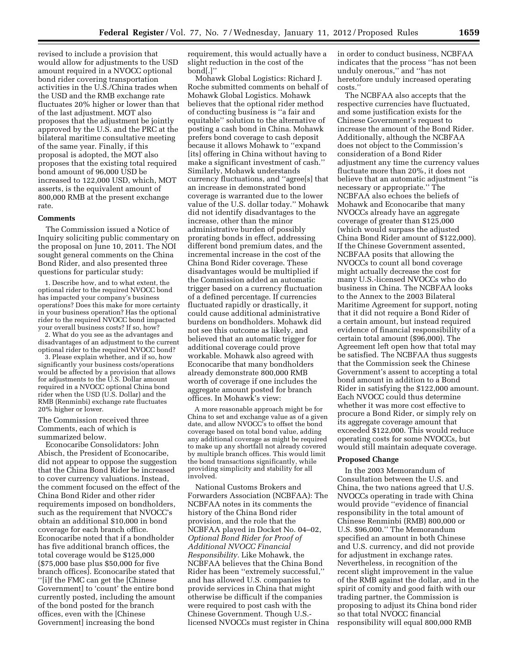revised to include a provision that would allow for adjustments to the USD amount required in a NVOCC optional bond rider covering transportation activities in the U.S./China trades when the USD and the RMB exchange rate fluctuates 20% higher or lower than that of the last adjustment. MOT also proposes that the adjustment be jointly approved by the U.S. and the PRC at the bilateral maritime consultative meeting of the same year. Finally, if this proposal is adopted, the MOT also proposes that the existing total required bond amount of 96,000 USD be increased to 122,000 USD, which, MOT asserts, is the equivalent amount of 800,000 RMB at the present exchange rate.

### **Comments**

The Commission issued a Notice of Inquiry soliciting public commentary on the proposal on June 10, 2011. The NOI sought general comments on the China Bond Rider, and also presented three questions for particular study:

1. Describe how, and to what extent, the optional rider to the required NVOCC bond has impacted your company's business operations? Does this make for more certainty in your business operation? Has the optional rider to the required NVOCC bond impacted your overall business costs? If so, how?

2. What do you see as the advantages and disadvantages of an adjustment to the current optional rider to the required NVOCC bond?

3. Please explain whether, and if so, how significantly your business costs/operations would be affected by a provision that allows for adjustments to the U.S. Dollar amount required in a NVOCC optional China bond rider when the USD (U.S. Dollar) and the RMB (Renminbi) exchange rate fluctuates 20% higher or lower.

The Commission received three Comments, each of which is summarized below.

Econocaribe Consolidators: John Abisch, the President of Econocaribe, did not appear to oppose the suggestion that the China Bond Rider be increased to cover currency valuations. Instead, the comment focused on the effect of the China Bond Rider and other rider requirements imposed on bondholders, such as the requirement that NVOCC's obtain an additional \$10,000 in bond coverage for each branch office. Econocaribe noted that if a bondholder has five additional branch offices, the total coverage would be \$125,000 (\$75,000 base plus \$50,000 for five branch offices). Econocaribe stated that ''[i]f the FMC can get the [Chinese Government] to 'count' the entire bond currently posted, including the amount of the bond posted for the branch offices, even with the [Chinese Government] increasing the bond

requirement, this would actually have a slight reduction in the cost of the bond[.]''

Mohawk Global Logistics: Richard J. Roche submitted comments on behalf of Mohawk Global Logistics. Mohawk believes that the optional rider method of conducting business is ''a fair and equitable'' solution to the alternative of posting a cash bond in China. Mohawk prefers bond coverage to cash deposit because it allows Mohawk to ''expand [its] offering in China without having to make a significant investment of cash.'' Similarly, Mohawk understands currency fluctuations, and ''agree[s] that an increase in demonstrated bond coverage is warranted due to the lower value of the U.S. dollar today.'' Mohawk did not identify disadvantages to the increase, other than the minor administrative burden of possibly prorating bonds in effect, addressing different bond premium dates, and the incremental increase in the cost of the China Bond Rider coverage. These disadvantages would be multiplied if the Commission added an automatic trigger based on a currency fluctuation of a defined percentage. If currencies fluctuated rapidly or drastically, it could cause additional administrative burdens on bondholders. Mohawk did not see this outcome as likely, and believed that an automatic trigger for additional coverage could prove workable. Mohawk also agreed with Econocaribe that many bondholders already demonstrate 800,000 RMB worth of coverage if one includes the aggregate amount posted for branch offices. In Mohawk's view:

A more reasonable approach might be for China to set and exchange value as of a given date, and allow NVOCC's to offset the bond coverage based on total bond value, adding any additional coverage as might be required to make up any shortfall not already covered by multiple branch offices. This would limit the bond transactions significantly, while providing simplicity and stability for all involved.

National Customs Brokers and Forwarders Association (NCBFAA): The NCBFAA notes in its comments the history of the China Bond rider provision, and the role that the NCBFAA played in Docket No. 04–02, *Optional Bond Rider for Proof of Additional NVOCC Financial Responsibility.* Like Mohawk, the NCBFAA believes that the China Bond Rider has been ''extremely successful,'' and has allowed U.S. companies to provide services in China that might otherwise be difficult if the companies were required to post cash with the Chinese Government. Though U.S. licensed NVOCCs must register in China in order to conduct business, NCBFAA indicates that the process ''has not been unduly onerous,'' and ''has not heretofore unduly increased operating costs.''

The NCBFAA also accepts that the respective currencies have fluctuated, and some justification exists for the Chinese Government's request to increase the amount of the Bond Rider. Additionally, although the NCBFAA does not object to the Commission's consideration of a Bond Rider adjustment any time the currency values fluctuate more than 20%, it does not believe that an automatic adjustment ''is necessary or appropriate.'' The NCBFAA also echoes the beliefs of Mohawk and Econocaribe that many NVOCCs already have an aggregate coverage of greater than \$125,000 (which would surpass the adjusted China Bond Rider amount of \$122,000). If the Chinese Government assented, NCBFAA posits that allowing the NVOCCs to count all bond coverage might actually decrease the cost for many U.S.-licensed NVOCCs who do business in China. The NCBFAA looks to the Annex to the 2003 Bilateral Maritime Agreement for support, noting that it did not require a Bond Rider of a certain amount, but instead required evidence of financial responsibility of a certain total amount (\$96,000). The Agreement left open how that total may be satisfied. The NCBFAA thus suggests that the Commission seek the Chinese Government's assent to accepting a total bond amount in addition to a Bond Rider in satisfying the \$122,000 amount. Each NVOCC could thus determine whether it was more cost effective to procure a Bond Rider, or simply rely on its aggregate coverage amount that exceeded \$122,000. This would reduce operating costs for some NVOCCs, but would still maintain adequate coverage.

### **Proposed Change**

In the 2003 Memorandum of Consultation between the U.S. and China, the two nations agreed that U.S. NVOCCs operating in trade with China would provide ''evidence of financial responsibility in the total amount of Chinese Renminbi (RMB) 800,000 or U.S. \$96,000.'' The Memorandum specified an amount in both Chinese and U.S. currency, and did not provide for adjustment in exchange rates. Nevertheless, in recognition of the recent slight improvement in the value of the RMB against the dollar, and in the spirit of comity and good faith with our trading partner, the Commission is proposing to adjust its China bond rider so that total NVOCC financial responsibility will equal 800,000 RMB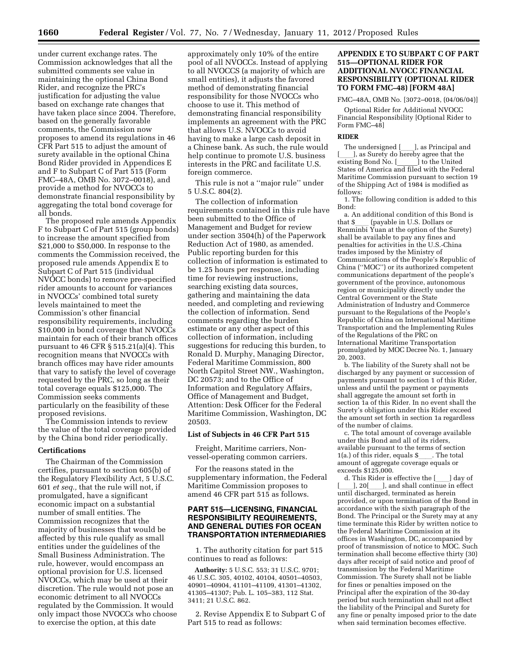under current exchange rates. The Commission acknowledges that all the submitted comments see value in maintaining the optional China Bond Rider, and recognize the PRC's justification for adjusting the value based on exchange rate changes that have taken place since 2004. Therefore, based on the generally favorable comments, the Commission now proposes to amend its regulations in 46 CFR Part 515 to adjust the amount of surety available in the optional China Bond Rider provided in Appendices E and F to Subpart C of Part 515 (Form FMC–48A, OMB No. 3072–0018), and provide a method for NVOCCs to demonstrate financial responsibility by aggregating the total bond coverage for all bonds.

The proposed rule amends Appendix F to Subpart C of Part 515 (group bonds) to increase the amount specified from \$21,000 to \$50,000. In response to the comments the Commission received, the proposed rule amends Appendix E to Subpart C of Part 515 (individual NVOCC bonds) to remove pre-specified rider amounts to account for variances in NVOCCs' combined total surety levels maintained to meet the Commission's other financial responsibility requirements, including \$10,000 in bond coverage that NVOCCs maintain for each of their branch offices pursuant to 46 CFR § 515.21(a)(4). This recognition means that NVOCCs with branch offices may have rider amounts that vary to satisfy the level of coverage requested by the PRC, so long as their total coverage equals \$125,000. The Commission seeks comments particularly on the feasibility of these proposed revisions.

The Commission intends to review the value of the total coverage provided by the China bond rider periodically.

#### **Certifications**

The Chairman of the Commission certifies, pursuant to section 605(b) of the Regulatory Flexibility Act, 5 U.S.C. 601 *et seq.,* that the rule will not, if promulgated, have a significant economic impact on a substantial number of small entities. The Commission recognizes that the majority of businesses that would be affected by this rule qualify as small entities under the guidelines of the Small Business Administration. The rule, however, would encompass an optional provision for U.S. licensed NVOCCs, which may be used at their discretion. The rule would not pose an economic detriment to all NVOCCs regulated by the Commission. It would only impact those NVOCCs who choose to exercise the option, at this date

approximately only 10% of the entire pool of all NVOCCs. Instead of applying to all NVOCCS (a majority of which are small entities), it adjusts the favored method of demonstrating financial responsibility for those NVOCCs who choose to use it. This method of demonstrating financial responsibility implements an agreement with the PRC that allows U.S. NVOCCs to avoid having to make a large cash deposit in a Chinese bank. As such, the rule would help continue to promote U.S. business interests in the PRC and facilitate U.S. foreign commerce.

This rule is not a ''major rule'' under 5 U.S.C. 804(2).

The collection of information requirements contained in this rule have been submitted to the Office of Management and Budget for review under section 3504(h) of the Paperwork Reduction Act of 1980, as amended. Public reporting burden for this collection of information is estimated to be 1.25 hours per response, including time for reviewing instructions, searching existing data sources, gathering and maintaining the data needed, and completing and reviewing the collection of information. Send comments regarding the burden estimate or any other aspect of this collection of information, including suggestions for reducing this burden, to Ronald D. Murphy, Managing Director, Federal Maritime Commission, 800 North Capitol Street NW., Washington, DC 20573; and to the Office of Information and Regulatory Affairs, Office of Management and Budget, Attention: Desk Officer for the Federal Maritime Commission, Washington, DC 20503.

#### **List of Subjects in 46 CFR Part 515**

Freight, Maritime carriers, Nonvessel-operating common carriers.

For the reasons stated in the supplementary information, the Federal Maritime Commission proposes to amend 46 CFR part 515 as follows.

# **PART 515—LICENSING, FINANCIAL RESPONSIBILITY REQUIREMENTS, AND GENERAL DUTIES FOR OCEAN TRANSPORTATION INTERMEDIARIES**

1. The authority citation for part 515 continues to read as follows:

**Authority:** 5 U.S.C. 553; 31 U.S.C. 9701; 46 U.S.C. 305, 40102, 40104, 40501–40503, 40901–40904, 41101–41109, 41301–41302, 41305–41307; Pub. L. 105–383, 112 Stat. 3411; 21 U.S.C. 862.

2. Revise Appendix E to Subpart C of Part 515 to read as follows:

# **APPENDIX E TO SUBPART C OF PART 515—OPTIONAL RIDER FOR ADDITIONAL NVOCC FINANCIAL RESPONSIBILITY (OPTIONAL RIDER TO FORM FMC–48) [FORM 48A]**

FMC–48A, OMB No. [3072–0018, (04/06/04)]

Optional Rider for Additional NVOCC Financial Responsibility [Optional Rider to Form FMC-48

### **RIDER**

The undersigned  $[\_\_\_\]$ , as Principal and<br>las Surety do bereby agree that the [\_\_\_], as Surety do hereby agree that the<br>existing Bond No [\_\_\_\_\_\_] to the United existing Bond No. [\_\_\_\_\_\_] to the United States of America and filed with the Federal Maritime Commission pursuant to section 19 of the Shipping Act of 1984 is modified as follows:

1. The following condition is added to this Bond:

a. An additional condition of this Bond is<br>at \$ (payable in U.S. Dollars or that \$\_\_\_ (payable in U.S. Dollars or<br>Renminbi Yuan at the option of the Surety) shall be available to pay any fines and penalties for activities in the U.S.-China trades imposed by the Ministry of Communications of the People's Republic of China (''MOC'') or its authorized competent communications department of the people's government of the province, autonomous region or municipality directly under the Central Government or the State Administration of Industry and Commerce pursuant to the Regulations of the People's Republic of China on International Maritime Transportation and the Implementing Rules of the Regulations of the PRC on International Maritime Transportation promulgated by MOC Decree No. 1, January 20, 2003.

b. The liability of the Surety shall not be discharged by any payment or succession of payments pursuant to section 1 of this Rider, unless and until the payment or payments shall aggregate the amount set forth in section 1a of this Rider. In no event shall the Surety's obligation under this Rider exceed the amount set forth in section 1a regardless of the number of claims.

c. The total amount of coverage available under this Bond and all of its riders, available pursuant to the terms of section  $1(a.)$  of this rider, equals  $\$\quad$ . The total amount of aggregate coverage equals or exceeds \$125,000.

d. This Rider is effective the  $\lfloor$  day of 1. 20 [erg]. and shall continue in effect ], and shall continue in effect until discharged, terminated as herein provided, or upon termination of the Bond in accordance with the sixth paragraph of the Bond. The Principal or the Surety may at any time terminate this Rider by written notice to the Federal Maritime Commission at its offices in Washington, DC, accompanied by proof of transmission of notice to MOC. Such termination shall become effective thirty (30) days after receipt of said notice and proof of transmission by the Federal Maritime Commission. The Surety shall not be liable for fines or penalties imposed on the Principal after the expiration of the 30-day period but such termination shall not affect the liability of the Principal and Surety for any fine or penalty imposed prior to the date when said termination becomes effective.